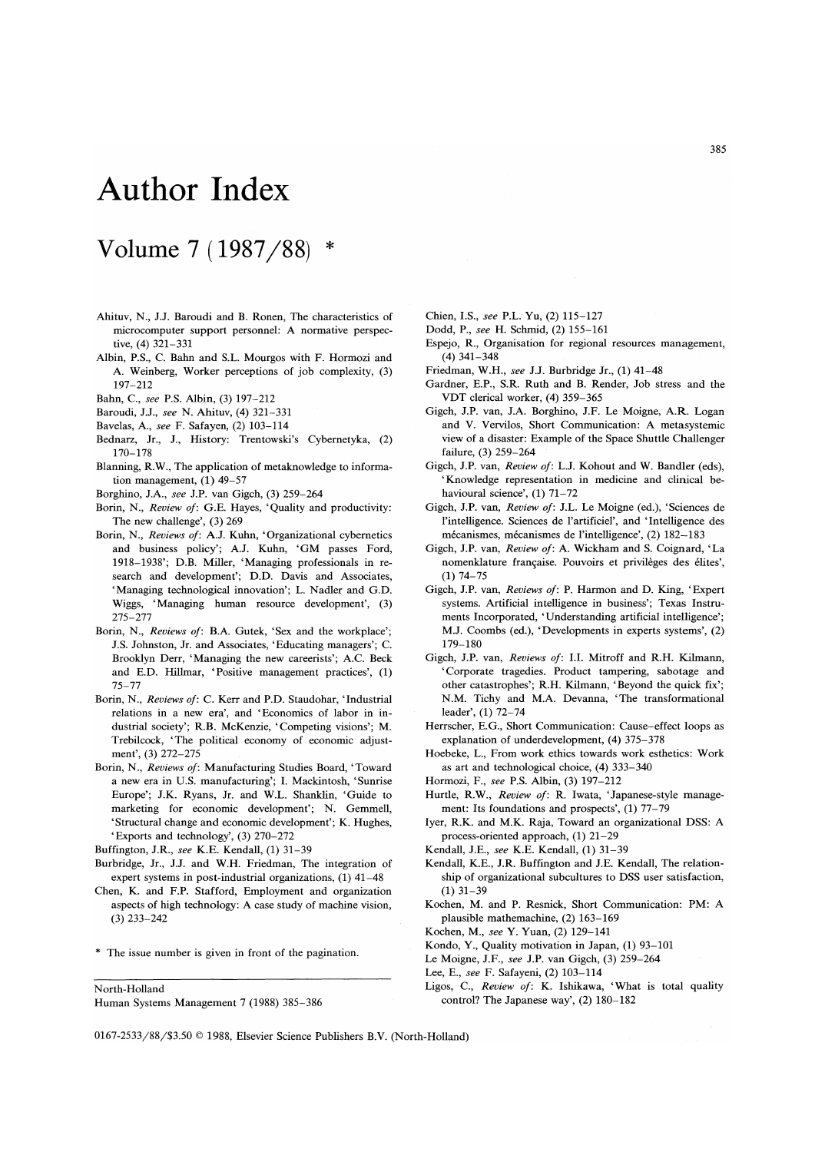## **Author Index**

## **Volume** 7 **(1987** /88) \*

- Ahituv, N., J.J. Baroudi and B. Ronen, The characteristics of microcomputer support personnel: A normative perspective, (4) 321-331
- Albin, P.S., C. Bahn and S.L. Mourgos with F. Hormozi and A Weinberg, Worker perceptions of job complexity, (3) 197-212
- Bahn, *C., see* P.S. Albin, (3) 197-212
- Baroudi, J.J., *see* N. Ahituv, (4) 321-331
- Bavelas, A, *see* F. Safayen, (2) 103-114
- Bednarz, Jr., J., History: Trentowski's Cybernetyka, (2) 170-178
- Blanning, R.W., The application of metaknowledge to information management, (1) 49-57
- Borghino, J.A, *see* J.P. van Gigch, (3) 259-264
- Borin, N., *Review of:* G.E. Hayes, 'Quality and productivity: The new challenge', (3) 269
- Borin, N., *Reviews of:* A.J. Kuhn, 'Organizational cybernetics and business policy'; A.J. Kuhn, 'GM passes Ford, 1918-1938'; D.B. Miller, 'Managing professionals in research and development'; D.D. Davis and Associates, 'Managing technological innovation'; L. Nadler and G.D. Wiggs, 'Managing human resource development', (3) 275-277
- Borin, N., *Reviews of:* B.A. Gutek, 'Sex and the workplace'; J.S. Johnston, Jr. and Associates, 'Educating managers'; C. Brooklyn Derr, 'Managing the new careerists'; A.C. Beck and E.D. Hillmar, 'Positive management practices', (1) 75-77
- Borin, N., *Reviews of:* C. Kerr and P.D. Staudohar, 'Industrial relations in a new era', and 'Economics of labor in industrial society'; R.B. McKenzie, 'Competing visions'; M. Trebilcock, 'The political economy of economic adjustment', (3) 272-275
- Borin, N., *Reviews of:* Manufacturing Studies Board, 'Toward a new era in U.S. manufacturing'; I. Mackintosh, 'Sunrise Europe'; J.K. Ryans, Jr. and W.L. Shanklin, 'Guide to marketing for economic development'; N. Gemmell, 'Structural change and economic development'; K. Hughes, 'Exports and technology', (3) 270-272

Buffington, J.R., *see* K.E. Kendall, (1) 31-39

- Burbridge, Jr., J.J.and W.H. Friedman, The integration of expert systems in post-industrial organizations, (1) 41-48
- Chen, K. and F.P. Stafford, Employment and organization aspects of high technology: A case study of machine vision, (3) 233-242

\* The issue number is given in front of the pagination.

North-Holland

Chien, I.S., *see* P.L. Yu, (2) 115-127

- Dodd, P., *see* H. Schmid, (2) 155-161
- Espejo, R., Organisation for regional resources management, (4) 341-348
- Friedman, W.H., *see* J.J. Burbridge Jr., (1) 41-48
- Gardner, E.P., S.R. Ruth and B. Render, Job stress and the VDT clerical worker, (4) 359-365
- Gigch, J.P. van, J.A. Borghino, J.F. Le Moigne, AR. Logan and V. Vervilos, Short Communication: A metasystemic view of a disaster: Example of the Space Shuttle Challenger failure, (3) 259-264
- Gigch, J.P. van, *Review of:* L.J. Kohout and W. Bandler (eds), 'Knowledge representation in medicine and clinical behavioural science', (1) 71-72
- Gigch, J.P. van, *Review of:* J.L. Le Moigne (ed.), 'Sciences de I'intelligence. Sciences de I'artificiel', and 'Intelligence des mécanismes, mécanismes de l'intelligence', (2) 182-183
- Gigch, J.P. van, *Review of:* A. Wickham and S. Coignard, 'La nomenklature française. Pouvoirs et privilèges des élites', (1) 74-75
- Gigch, J.P. van, *Reviews of:* P. Harmon and D. King, 'Expert systems. Artificial intelligence in business'; Texas Instruments Incorporated, 'Understanding artificial intelligence'; M.J. Coombs (ed.), 'Developments in experts systems', (2) 179-180
- Gigch, J.P. van, *Reviews of:* 1.1. Mitroff and R.H. Kilmann, , Corporate tragedies. Product tampering, sabotage and other catastrophes'; R.H. Kilmann, 'Beyond the quick fix'; N.M. Tichy and M.A Devanna, 'The transformational leader', (1) 72-74
- Herrscher, E.G., Short Communication: Cause-effect loops as explanation of underdevelopment, (4) 375-378
- Hoebeke, L., From work ethics towards work esthetics: Work as art and technological choice, (4) 333-340
- Hormozi, F., *see* P.S. Albin, (3) 197-212
- Hurtle, R.W., *Review of:* R. Iwata, 'Japanese-style management: Its foundations and prospects', (1) 77-79
- Iyer, R.K. and M.K. Raja, Toward an organizational DSS: A process-oriented approach, (1) 21-29
- Kendall, J.E., *see* K.E. Kendall, (1) 31-39
- Kendall, K.E., J.R. Buffington and J.E. Kendall, The relationship of organizational subcultures to DSS user satisfaction, (1) 31-39
- Kochen, M. and P. Resnick, Short Communication: PM: A plausible mathemachine, (2) 163-169
- Kochen, M., *see* Y. Yuan, (2) 129-141
- Kondo, Y., Quality motivation in Japan, (1) 93-101
- Le Moigne, J.F., *see* J.P. van Gigch, (3) 259-264
- Lee, E., *see* F. Safayeni, (2) 103-114
- Ligos, c., *Review of:* K. Ishikawa, 'What is total quality control? The Japanese way', (2) 180-182

0167-2533/88/\$3.50 © 1988, Elsevier Science Publishers B.V. (North-Holland)

Human Systems Management 7 (1988) 385-386